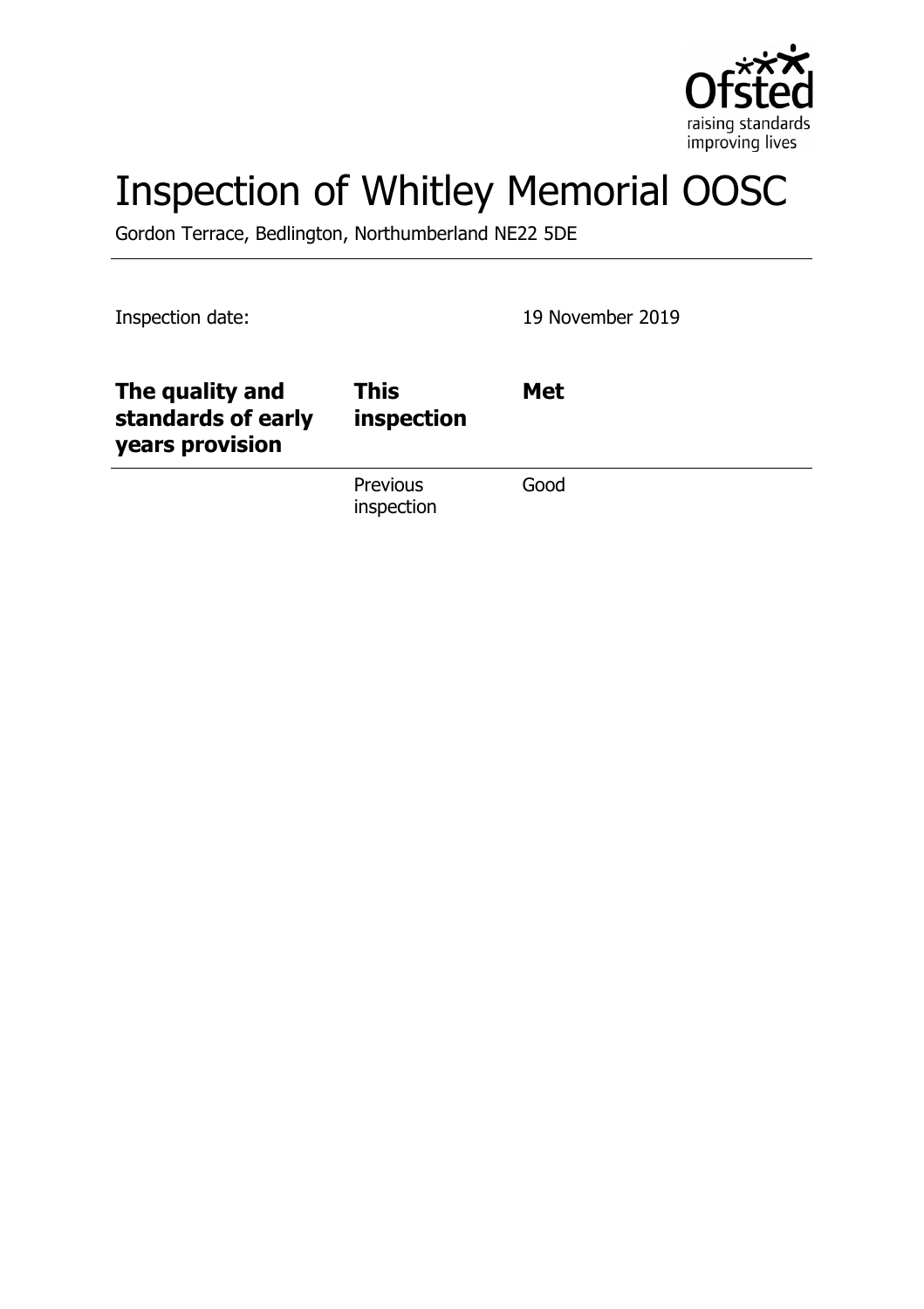

# Inspection of Whitley Memorial OOSC

Gordon Terrace, Bedlington, Northumberland NE22 5DE

Inspection date: 19 November 2019

| The quality and<br>standards of early<br>years provision | <b>This</b><br>inspection | <b>Met</b> |
|----------------------------------------------------------|---------------------------|------------|
|                                                          | Previous<br>inspection    | Good       |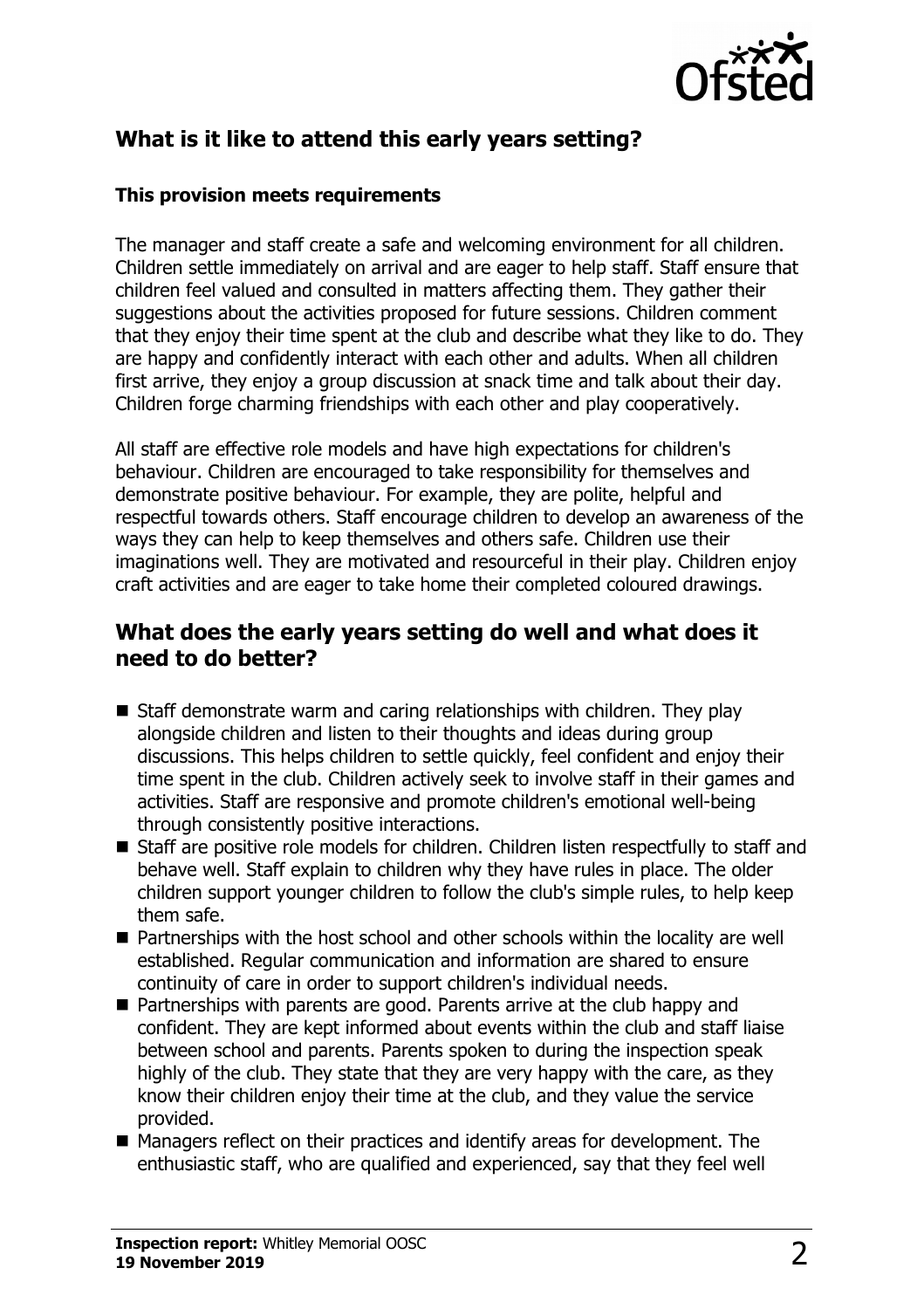

# **What is it like to attend this early years setting?**

#### **This provision meets requirements**

The manager and staff create a safe and welcoming environment for all children. Children settle immediately on arrival and are eager to help staff. Staff ensure that children feel valued and consulted in matters affecting them. They gather their suggestions about the activities proposed for future sessions. Children comment that they enjoy their time spent at the club and describe what they like to do. They are happy and confidently interact with each other and adults. When all children first arrive, they enjoy a group discussion at snack time and talk about their day. Children forge charming friendships with each other and play cooperatively.

All staff are effective role models and have high expectations for children's behaviour. Children are encouraged to take responsibility for themselves and demonstrate positive behaviour. For example, they are polite, helpful and respectful towards others. Staff encourage children to develop an awareness of the ways they can help to keep themselves and others safe. Children use their imaginations well. They are motivated and resourceful in their play. Children enjoy craft activities and are eager to take home their completed coloured drawings.

### **What does the early years setting do well and what does it need to do better?**

- $\blacksquare$  Staff demonstrate warm and caring relationships with children. They play alongside children and listen to their thoughts and ideas during group discussions. This helps children to settle quickly, feel confident and enjoy their time spent in the club. Children actively seek to involve staff in their games and activities. Staff are responsive and promote children's emotional well-being through consistently positive interactions.
- Staff are positive role models for children. Children listen respectfully to staff and behave well. Staff explain to children why they have rules in place. The older children support younger children to follow the club's simple rules, to help keep them safe.
- $\blacksquare$  Partnerships with the host school and other schools within the locality are well established. Regular communication and information are shared to ensure continuity of care in order to support children's individual needs.
- Partnerships with parents are good. Parents arrive at the club happy and confident. They are kept informed about events within the club and staff liaise between school and parents. Parents spoken to during the inspection speak highly of the club. They state that they are very happy with the care, as they know their children enjoy their time at the club, and they value the service provided.
- $\blacksquare$  Managers reflect on their practices and identify areas for development. The enthusiastic staff, who are qualified and experienced, say that they feel well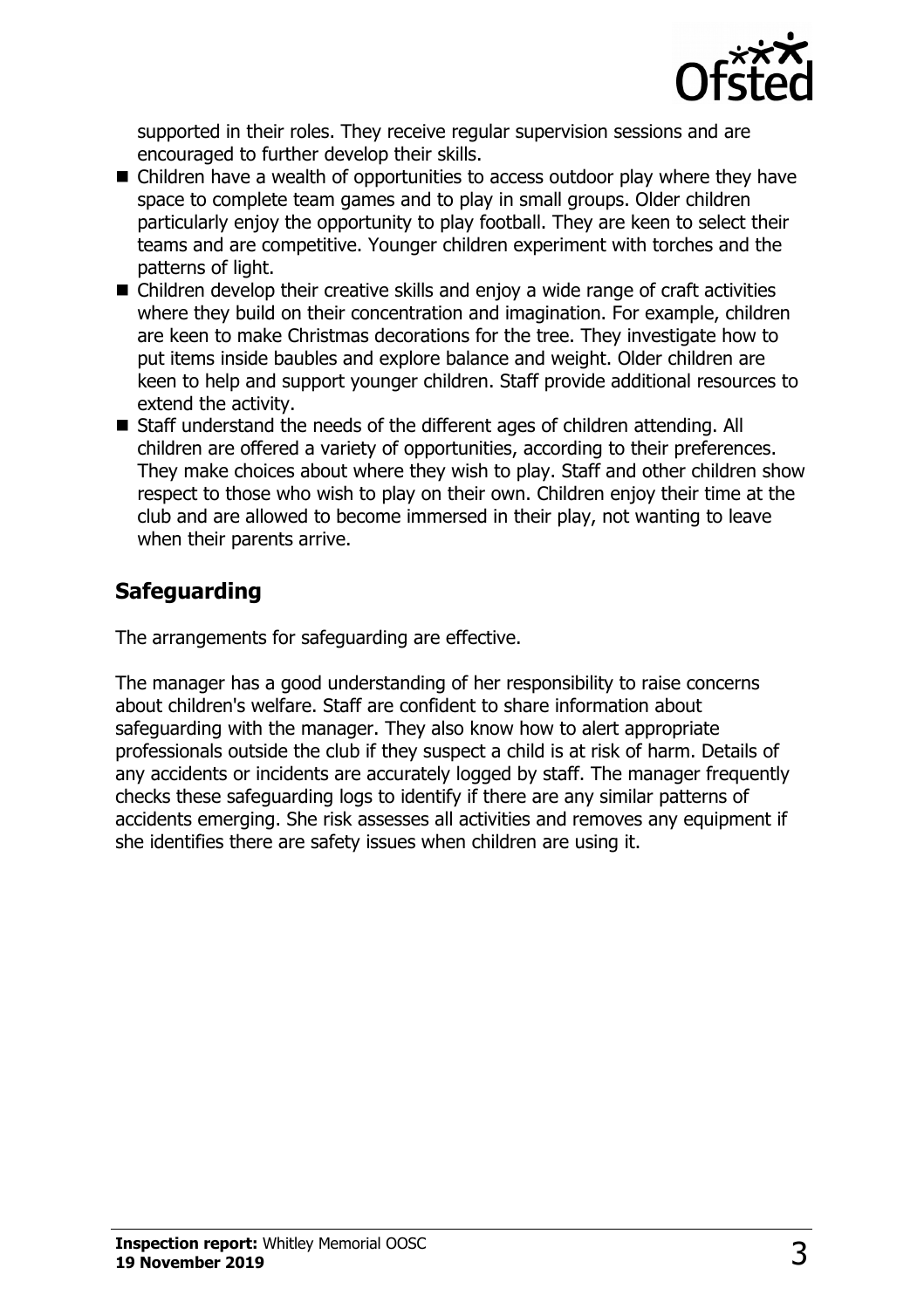

supported in their roles. They receive regular supervision sessions and are encouraged to further develop their skills.

- $\blacksquare$  Children have a wealth of opportunities to access outdoor play where they have space to complete team games and to play in small groups. Older children particularly enjoy the opportunity to play football. They are keen to select their teams and are competitive. Younger children experiment with torches and the patterns of light.
- $\blacksquare$  Children develop their creative skills and enjoy a wide range of craft activities where they build on their concentration and imagination. For example, children are keen to make Christmas decorations for the tree. They investigate how to put items inside baubles and explore balance and weight. Older children are keen to help and support younger children. Staff provide additional resources to extend the activity.
- Staff understand the needs of the different ages of children attending. All children are offered a variety of opportunities, according to their preferences. They make choices about where they wish to play. Staff and other children show respect to those who wish to play on their own. Children enjoy their time at the club and are allowed to become immersed in their play, not wanting to leave when their parents arrive.

## **Safeguarding**

The arrangements for safeguarding are effective.

The manager has a good understanding of her responsibility to raise concerns about children's welfare. Staff are confident to share information about safeguarding with the manager. They also know how to alert appropriate professionals outside the club if they suspect a child is at risk of harm. Details of any accidents or incidents are accurately logged by staff. The manager frequently checks these safeguarding logs to identify if there are any similar patterns of accidents emerging. She risk assesses all activities and removes any equipment if she identifies there are safety issues when children are using it.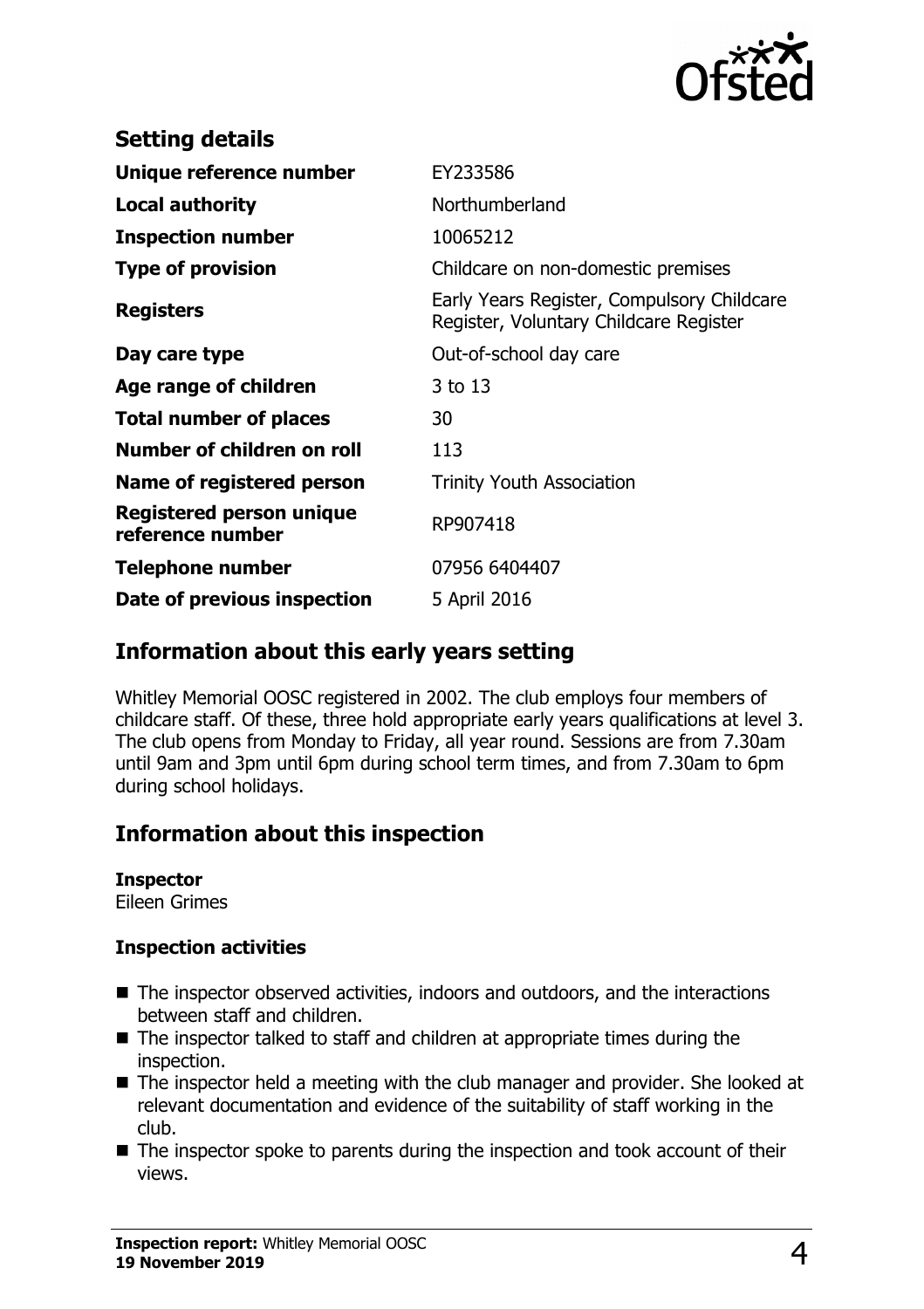

| EY233586                                                                             |  |
|--------------------------------------------------------------------------------------|--|
| Northumberland                                                                       |  |
| 10065212                                                                             |  |
| Childcare on non-domestic premises                                                   |  |
| Early Years Register, Compulsory Childcare<br>Register, Voluntary Childcare Register |  |
| Out-of-school day care                                                               |  |
| 3 to 13                                                                              |  |
| 30                                                                                   |  |
| 113                                                                                  |  |
| <b>Trinity Youth Association</b>                                                     |  |
| RP907418                                                                             |  |
| 07956 6404407                                                                        |  |
| 5 April 2016                                                                         |  |
|                                                                                      |  |

## **Information about this early years setting**

Whitley Memorial OOSC registered in 2002. The club employs four members of childcare staff. Of these, three hold appropriate early years qualifications at level 3. The club opens from Monday to Friday, all year round. Sessions are from 7.30am until 9am and 3pm until 6pm during school term times, and from 7.30am to 6pm during school holidays.

## **Information about this inspection**

#### **Inspector**

Eileen Grimes

#### **Inspection activities**

- $\blacksquare$  The inspector observed activities, indoors and outdoors, and the interactions between staff and children.
- $\blacksquare$  The inspector talked to staff and children at appropriate times during the inspection.
- $\blacksquare$  The inspector held a meeting with the club manager and provider. She looked at relevant documentation and evidence of the suitability of staff working in the club.
- $\blacksquare$  The inspector spoke to parents during the inspection and took account of their views.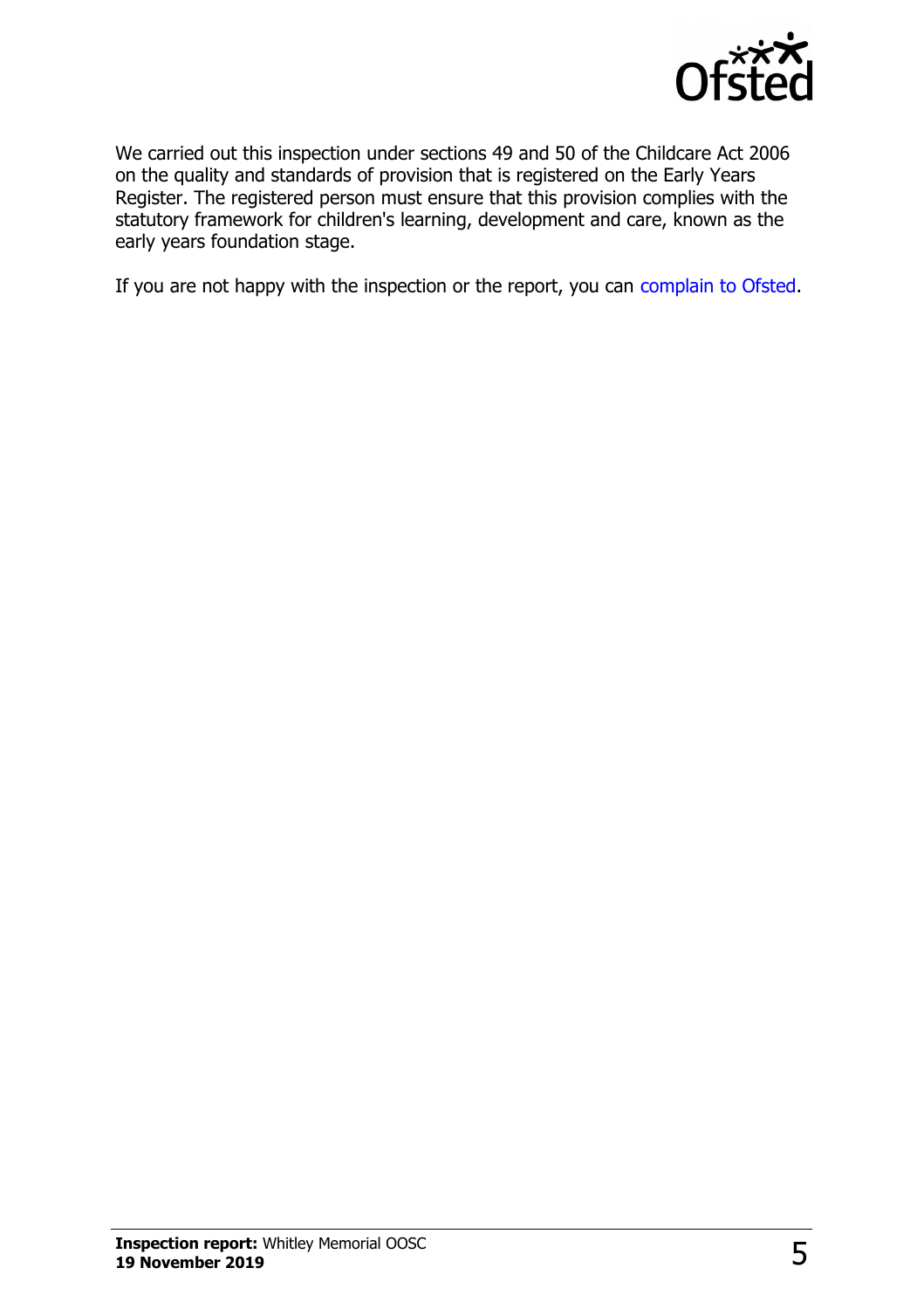

We carried out this inspection under sections 49 and 50 of the Childcare Act 2006 on the quality and standards of provision that is registered on the Early Years Register. The registered person must ensure that this provision complies with the statutory framework for children's learning, development and care, known as the early years foundation stage.

If you are not happy with the inspection or the report, you can [complain to Ofsted.](http://www.gov.uk/complain-ofsted-report)